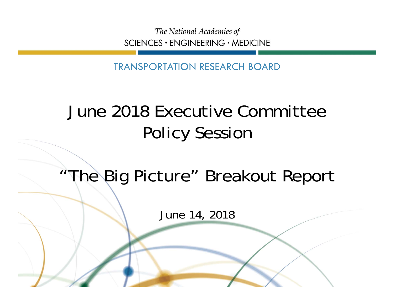The National Academies of SCIENCES · ENGINEERING · MEDICINE

TRANSPORTATION RESEARCH BOARD

## June 2018 Executive Committee Policy Session

## "The Big Picture" Breakout Report

June 14, 2018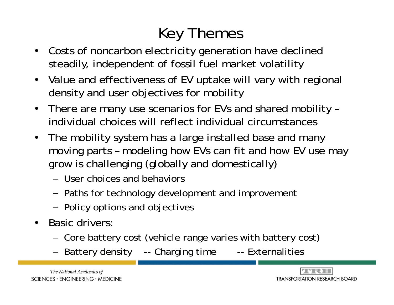## Key Themes

- Costs of noncarbon electricity generation have declined steadily, independent of fossil fuel market volatility
- Value and effectiveness of EV uptake will vary with regional density and user objectives for mobility
- There are many use scenarios for EVs and shared mobility individual choices will reflect individual circumstances
- The mobility system has a large installed base and many moving parts – modeling how EVs can fit and how EV use may grow is challenging (globally and domestically)
	- User choices and behaviors
	- $-$  Paths for technology development and improvement
	- $-$  Policy options and objectives
- Basic drivers:
	- Core battery cost (vehicle range varies with battery cost)
	- Battery density -- Charging time -- Externalities